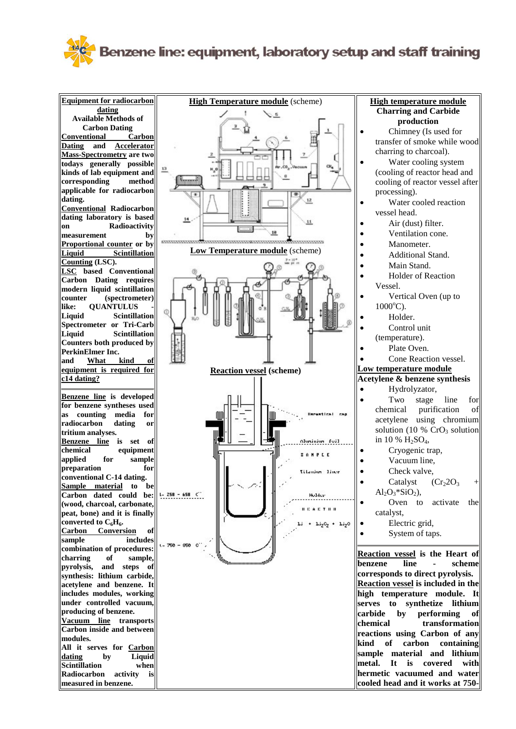## Benzene line: equipment, laboratory setup and staff training